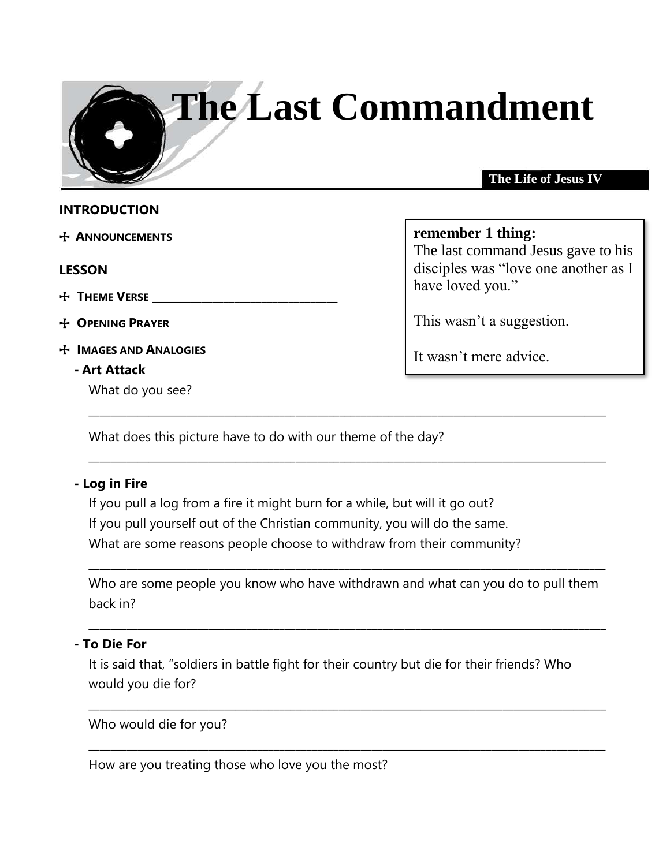# **The Last Commandment**

#### **The Life of Jesus IV**

#### **INTRODUCTION**

+ **ANNOUNCEMENTS** 

#### **LESSON**

## + **THEME VERSE** \_\_\_\_\_\_\_\_\_\_\_\_\_\_\_\_\_\_\_\_\_\_\_\_\_\_\_\_\_\_\_\_\_\_

+ **OPENING PRAYER**

+ **IMAGES AND ANALOGIES**

#### **- Art Attack**

What do you see?

#### **remember 1 thing:**

The last command Jesus gave to his disciples was "love one another as I have loved you."

This wasn't a suggestion.

It wasn't mere advice.

What does this picture have to do with our theme of the day?

#### **- Log in Fire**

If you pull a log from a fire it might burn for a while, but will it go out? If you pull yourself out of the Christian community, you will do the same. What are some reasons people choose to withdraw from their community?

Who are some people you know who have withdrawn and what can you do to pull them back in?

\_\_\_\_\_\_\_\_\_\_\_\_\_\_\_\_\_\_\_\_\_\_\_\_\_\_\_\_\_\_\_\_\_\_\_\_\_\_\_\_\_\_\_\_\_\_\_\_\_\_\_\_\_\_\_\_\_\_\_\_\_\_\_\_\_\_\_\_\_\_\_\_\_\_\_\_\_\_\_\_\_\_\_\_\_\_\_\_\_\_\_\_\_\_\_

 $\_$  ,  $\_$  ,  $\_$  ,  $\_$  ,  $\_$  ,  $\_$  ,  $\_$  ,  $\_$  ,  $\_$  ,  $\_$  ,  $\_$  ,  $\_$  ,  $\_$  ,  $\_$  ,  $\_$  ,  $\_$  ,  $\_$  ,  $\_$  ,  $\_$  ,  $\_$  ,  $\_$  ,  $\_$  ,  $\_$  ,  $\_$  ,  $\_$  ,  $\_$  ,  $\_$  ,  $\_$  ,  $\_$  ,  $\_$  ,  $\_$  ,  $\_$  ,  $\_$  ,  $\_$  ,  $\_$  ,  $\_$  ,  $\_$  ,

\_\_\_\_\_\_\_\_\_\_\_\_\_\_\_\_\_\_\_\_\_\_\_\_\_\_\_\_\_\_\_\_\_\_\_\_\_\_\_\_\_\_\_\_\_\_\_\_\_\_\_\_\_\_\_\_\_\_\_\_\_\_\_\_\_\_\_\_\_\_\_\_\_\_\_\_\_\_\_\_\_\_\_\_\_\_\_\_\_\_\_\_\_\_\_

\_\_\_\_\_\_\_\_\_\_\_\_\_\_\_\_\_\_\_\_\_\_\_\_\_\_\_\_\_\_\_\_\_\_\_\_\_\_\_\_\_\_\_\_\_\_\_\_\_\_\_\_\_\_\_\_\_\_\_\_\_\_\_\_\_\_\_\_\_\_\_\_\_\_\_\_\_\_\_\_\_\_\_\_\_\_\_\_\_\_\_\_\_\_\_

\_\_\_\_\_\_\_\_\_\_\_\_\_\_\_\_\_\_\_\_\_\_\_\_\_\_\_\_\_\_\_\_\_\_\_\_\_\_\_\_\_\_\_\_\_\_\_\_\_\_\_\_\_\_\_\_\_\_\_\_\_\_\_\_\_\_\_\_\_\_\_\_\_\_\_\_\_\_\_\_\_\_\_\_\_\_\_\_\_\_\_\_\_\_\_

\_\_\_\_\_\_\_\_\_\_\_\_\_\_\_\_\_\_\_\_\_\_\_\_\_\_\_\_\_\_\_\_\_\_\_\_\_\_\_\_\_\_\_\_\_\_\_\_\_\_\_\_\_\_\_\_\_\_\_\_\_\_\_\_\_\_\_\_\_\_\_\_\_\_\_\_\_\_\_\_\_\_\_\_\_\_\_\_\_\_\_\_\_\_\_

#### **- To Die For**

It is said that, "soldiers in battle fight for their country but die for their friends? Who would you die for?

Who would die for you?

How are you treating those who love you the most?